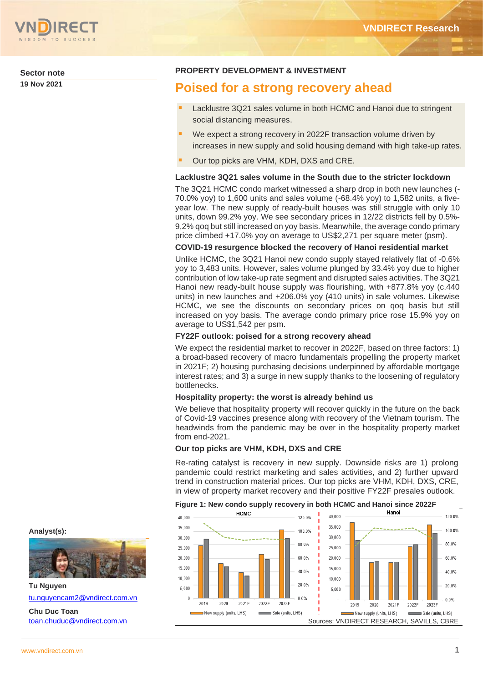

**Sector note 19 Nov 2021**

# **PROPERTY DEVELOPMENT & INVESTMENT**

# **Poised for a strong recovery ahead**

- Lacklustre 3Q21 sales volume in both HCMC and Hanoi due to stringent social distancing measures.
- We expect a strong recovery in 2022F transaction volume driven by increases in new supply and solid housing demand with high take-up rates.
- Our top picks are VHM, KDH, DXS and CRE.

## **Lacklustre 3Q21 sales volume in the South due to the stricter lockdown**

The 3Q21 HCMC condo market witnessed a sharp drop in both new launches (- 70.0% yoy) to 1,600 units and sales volume (-68.4% yoy) to 1,582 units, a fiveyear low. The new supply of ready-built houses was still struggle with only 10 units, down 99.2% yoy. We see secondary prices in 12/22 districts fell by 0.5%- 9,2% qoq but still increased on yoy basis. Meanwhile, the average condo primary price climbed +17.0% yoy on average to US\$2,271 per square meter (psm).

## **COVID-19 resurgence blocked the recovery of Hanoi residential market**

Unlike HCMC, the 3Q21 Hanoi new condo supply stayed relatively flat of -0.6% yoy to 3,483 units. However, sales volume plunged by 33.4% yoy due to higher contribution of low take-up rate segment and disrupted sales activities. The 3Q21 Hanoi new ready-built house supply was flourishing, with +877.8% yoy (c.440 units) in new launches and +206.0% yoy (410 units) in sale volumes. Likewise HCMC, we see the discounts on secondary prices on qoq basis but still increased on yoy basis. The average condo primary price rose 15.9% yoy on average to US\$1,542 per psm.

## **FY22F outlook: poised for a strong recovery ahead**

We expect the residential market to recover in 2022F, based on three factors: 1) a broad-based recovery of macro fundamentals propelling the property market in 2021F; 2) housing purchasing decisions underpinned by affordable mortgage interest rates; and 3) a surge in new supply thanks to the loosening of regulatory bottlenecks.

### **Hospitality property: the worst is already behind us**

We believe that hospitality property will recover quickly in the future on the back of Covid-19 vaccines presence along with recovery of the Vietnam tourism. The headwinds from the pandemic may be over in the hospitality property market from end-2021.

## **Our top picks are VHM, KDH, DXS and CRE**

Re-rating catalyst is recovery in new supply. Downside risks are 1) prolong pandemic could restrict marketing and sales activities, and 2) further upward trend in construction material prices. Our top picks are VHM, KDH, DXS, CRE, in view of property market recovery and their positive FY22F presales outlook.

# **Figure 1: New condo supply recovery in both HCMC and Hanoi since 2022F**



## **Analyst(s):**



**Tu Nguyen** [tu.nguyencam2@vndirect.com.vn](mailto:tu.nguyencam2@vndirect.com.vn)

**Chu Duc Toan** [toan.chuduc@vndirect.com.vn](mailto:toan.chuduc@vndirect.com.vn) 120.0%

100.0%

80.0%

60.0%

40.0%

20.0%

 $0.0%$ 

2021F

2022F

2023F

Sale (units LHS)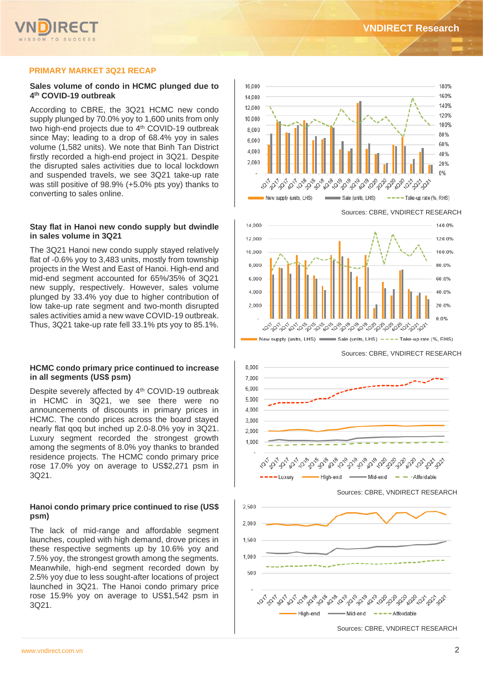

## **PRIMARY MARKET 3Q21 RECAP**

## **Sales volume of condo in HCMC plunged due to 4 th COVID-19 outbreak**

According to CBRE, the 3Q21 HCMC new condo supply plunged by 70.0% yoy to 1,600 units from only two high-end projects due to 4<sup>th</sup> COVID-19 outbreak since May; leading to a drop of 68.4% yoy in sales volume (1,582 units). We note that Binh Tan District firstly recorded a high-end project in 3Q21. Despite the disrupted sales activities due to local lockdown and suspended travels, we see 3Q21 take-up rate was still positive of 98.9% (+5.0% pts yoy) thanks to converting to sales online.

## **Stay flat in Hanoi new condo supply but dwindle in sales volume in 3Q21**

The 3Q21 Hanoi new condo supply stayed relatively flat of -0.6% yoy to 3,483 units, mostly from township projects in the West and East of Hanoi. High-end and mid-end segment accounted for 65%/35% of 3Q21 new supply, respectively. However, sales volume plunged by 33.4% yoy due to higher contribution of low take-up rate segment and two-month disrupted sales activities amid a new wave COVID-19 outbreak. Thus, 3Q21 take-up rate fell 33.1% pts yoy to 85.1%.

## **HCMC condo primary price continued to increase in all segments (US\$ psm)**

Despite severely affected by 4<sup>th</sup> COVID-19 outbreak in HCMC in 3Q21, we see there were no announcements of discounts in primary prices in HCMC. The condo prices across the board stayed nearly flat qoq but inched up 2.0-8.0% yoy in 3Q21. Luxury segment recorded the strongest growth among the segments of 8.0% yoy thanks to branded residence projects. The HCMC condo primary price rose 17.0% yoy on average to US\$2,271 psm in 3Q21.

## **Hanoi condo primary price continued to rise (US\$ psm)**

The lack of mid-range and affordable segment launches, coupled with high demand, drove prices in these respective segments up by 10.6% yoy and 7.5% yoy, the strongest growth among the segments. Meanwhile, high-end segment recorded down by 2.5% yoy due to less sought-after locations of project launched in 3Q21. The Hanoi condo primary price rose 15.9% yoy on average to US\$1,542 psm in 3Q21.



Sources: CBRE, VNDIRECT RESEARCH



Sources: CBRE, VNDIRECT RESEARCH







Sources: CBRE, VNDIRECT RESEARCH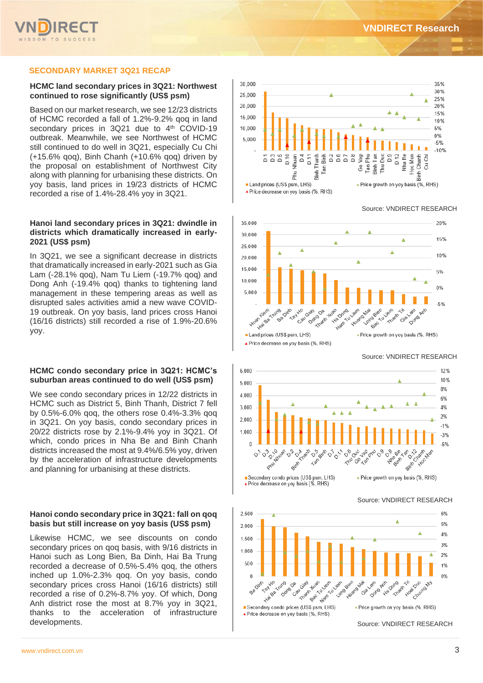## **SECONDARY MARKET 3Q21 RECAP**

## **HCMC land secondary prices in 3Q21: Northwest continued to rose significantly (US\$ psm)**

Based on our market research, we see 12/23 districts of HCMC recorded a fall of 1.2%-9.2% qoq in land secondary prices in 3Q21 due to 4<sup>th</sup> COVID-19 outbreak. Meanwhile, we see Northwest of HCMC still continued to do well in 3Q21, especially Cu Chi (+15.6% qoq), Binh Chanh (+10.6% qoq) driven by the proposal on establishment of Northwest City along with planning for urbanising these districts. On yoy basis, land prices in 19/23 districts of HCMC recorded a rise of 1.4%-28.4% yoy in 3Q21.

## **Hanoi land secondary prices in 3Q21: dwindle in districts which dramatically increased in early-2021 (US\$ psm)**

In 3Q21, we see a significant decrease in districts that dramatically increased in early-2021 such as Gia Lam (-28.1% qoq), Nam Tu Liem (-19.7% qoq) and Dong Anh (-19.4% qoq) thanks to tightening land management in these tempering areas as well as disrupted sales activities amid a new wave COVID-19 outbreak. On yoy basis, land prices cross Hanoi (16/16 districts) still recorded a rise of 1.9%-20.6% yoy.

### **HCMC condo secondary price in 3Q21: HCMC's suburban areas continued to do well (US\$ psm)**

We see condo secondary prices in 12/22 districts in HCMC such as District 5, Binh Thanh, District 7 fell by 0.5%-6.0% qoq, the others rose 0.4%-3.3% qoq in 3Q21. On yoy basis, condo secondary prices in 20/22 districts rose by 2.1%-9.4% yoy in 3Q21. Of which, condo prices in Nha Be and Binh Chanh districts increased the most at 9.4%/6.5% yoy, driven by the acceleration of infrastructure developments and planning for urbanising at these districts.

## **Hanoi condo secondary price in 3Q21: fall on qoq basis but still increase on yoy basis (US\$ psm)**

Likewise HCMC, we see discounts on condo secondary prices on qoq basis, with 9/16 districts in Hanoi such as Long Bien, Ba Dinh, Hai Ba Trung recorded a decrease of 0.5%-5.4% qoq, the others inched up 1.0%-2.3% qoq. On yoy basis, condo secondary prices cross Hanoi (16/16 districts) still recorded a rise of 0.2%-8.7% yoy. Of which, Dong Anh district rose the most at 8.7% yoy in 3Q21, thanks to the acceleration of infrastructure





Source: VNDIRECT RESEARCH



Source: VNDIRECT RESEARCH

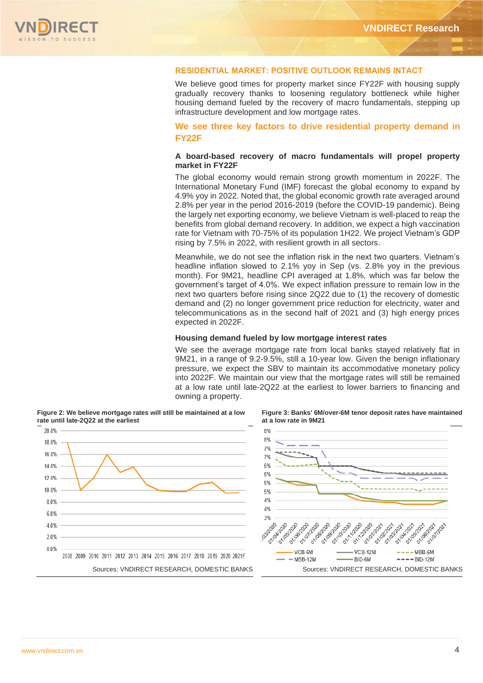

## **RESIDENTIAL MARKET: POSITIVE OUTLOOK REMAINS INTACT**

We believe good times for property market since FY22F with housing supply gradually recovery thanks to loosening regulatory bottleneck while higher housing demand fueled by the recovery of macro fundamentals, stepping up infrastructure development and low mortgage rates.

## **We see three key factors to drive residential property demand in FY22F**

## **A board-based recovery of macro fundamentals will propel property market in FY22F**

The global economy would remain strong growth momentum in 2022F. The International Monetary Fund (IMF) forecast the global economy to expand by 4.9% yoy in 2022. Noted that, the global economic growth rate averaged around 2.8% per year in the period 2016-2019 (before the COVID-19 pandemic). Being the largely net exporting economy, we believe Vietnam is well-placed to reap the benefits from global demand recovery. In addition, we expect a high vaccination rate for Vietnam with 70-75% of its population 1H22. We project Vietnam's GDP rising by 7.5% in 2022, with resilient growth in all sectors.

Meanwhile, we do not see the inflation risk in the next two quarters. Vietnam's headline inflation slowed to 2.1% yoy in Sep (vs. 2.8% yoy in the previous month). For 9M21, headline CPI averaged at 1.8%, which was far below the government's target of 4.0%. We expect inflation pressure to remain low in the next two quarters before rising since 2Q22 due to (1) the recovery of domestic demand and (2) no longer government price reduction for electricity, water and telecommunications as in the second half of 2021 and (3) high energy prices expected in 2022F.

## **Housing demand fueled by low mortgage interest rates**

We see the average mortgage rate from local banks stayed relatively flat in 9M21, in a range of 9.2-9.5%, still a 10-year low. Given the benign inflationary pressure, we expect the SBV to maintain its accommodative monetary policy into 2022F. We maintain our view that the mortgage rates will still be remained at a low rate until late-2Q22 at the earliest to lower barriers to financing and owning a property.





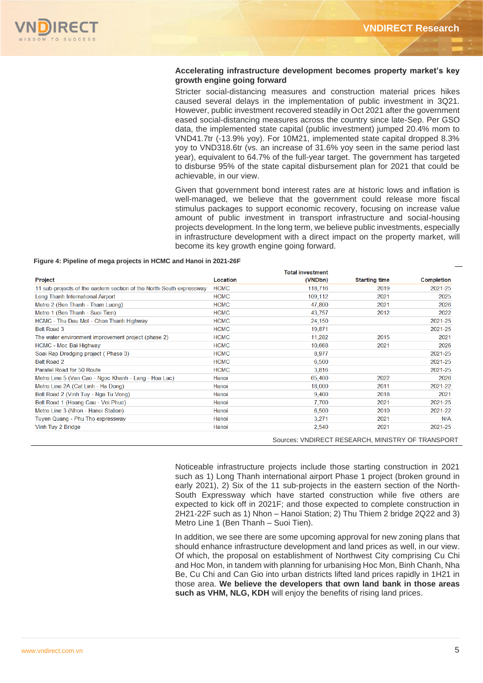## **Accelerating infrastructure development becomes property market's key growth engine going forward**

Stricter social-distancing measures and construction material prices hikes caused several delays in the implementation of public investment in 3Q21. However, public investment recovered steadily in Oct 2021 after the government eased social-distancing measures across the country since late-Sep. Per GSO data, the implemented state capital (public investment) jumped 20.4% mom to VND41.7tr (-13.9% yoy). For 10M21, implemented state capital dropped 8.3% yoy to VND318.6tr (vs. an increase of 31.6% yoy seen in the same period last year), equivalent to 64.7% of the full-year target. The government has targeted to disburse 95% of the state capital disbursement plan for 2021 that could be achievable, in our view.

Given that government bond interest rates are at historic lows and inflation is well-managed, we believe that the government could release more fiscal stimulus packages to support economic recovery, focusing on increase value amount of public investment in transport infrastructure and social-housing projects development. In the long term, we believe public investments, especially in infrastructure development with a direct impact on the property market, will become its key growth engine going forward.

#### **Figure 4: Pipeline of mega projects in HCMC and Hanoi in 2021-26F**

|                                                                      |             | <b>Total investment</b> |                      |                   |
|----------------------------------------------------------------------|-------------|-------------------------|----------------------|-------------------|
| Project                                                              | Location    | (VNDbn)                 | <b>Starting time</b> | <b>Completion</b> |
| 11 sub-projects of the eastern section of the North-South expressway | <b>HCMC</b> | 118,716                 | 2019                 | 2021-25           |
| Long Thanh International Airport                                     | <b>HCMC</b> | 109,112                 | 2021                 | 2025              |
| Metro 2 (Ben Thanh - Tham Luong)                                     | <b>HCMC</b> | 47,800                  | 2021                 | 2026              |
| Metro 1 (Ben Thanh - Suoi Tien)                                      | <b>HCMC</b> | 43,757                  | 2012                 | 2022              |
| HCMC - Thu Dau Mot - Chon Thanh Highway                              | <b>HCMC</b> | 24,150                  |                      | 2021-25           |
| <b>Belt Road 3</b>                                                   | <b>HCMC</b> | 19,871                  |                      | 2021-25           |
| The water environment improvement project (phase 2)                  | <b>HCMC</b> | 11,282                  | 2015                 | 2021              |
| <b>HCMC - Moc Bai Highway</b>                                        | <b>HCMC</b> | 10,668                  | 2021                 | 2026              |
| Soai Rap Dredging project (Phase 3)                                  | <b>HCMC</b> | 8,977                   |                      | 2021-25           |
| <b>Belt Road 2</b>                                                   | <b>HCMC</b> | 6,500                   |                      | 2021-25           |
| Parallel Road for 50 Route                                           | <b>HCMC</b> | 3,816                   |                      | 2021-25           |
| Metro Line 5 (Van Cao - Ngoc Khanh - Lang - Hoa Lac)                 | Hanoi       | 65,400                  | 2022                 | 2026              |
| Metro Line 2A (Cat Linh - Ha Dong)                                   | Hanoi       | 18,000                  | 2011                 | 2021-22           |
| Belt Road 2 (Vinh Tuy - Nga Tu Vong)                                 | Hanoi       | 9,400                   | 2018                 | 2021              |
| Belt Road 1 (Hoang Cau - Voi Phuc)                                   | Hanoi       | 7,700                   | 2021                 | 2021-25           |
| Metro Line 3 (Nhon - Hanoi Station)                                  | Hanoi       | 6,500                   | 2010                 | 2021-22           |
| Tuyen Quang - Phu Tho expressway                                     | Hanoi       | 3,271                   | 2021                 | N/A               |
| Vinh Tuy 2 Bridge                                                    | Hanoi       | 2,540                   | 2021                 | 2021-25           |

Sources: VNDIRECT RESEARCH, MINISTRY OF TRANSPORT

Noticeable infrastructure projects include those starting construction in 2021 such as 1) Long Thanh international airport Phase 1 project (broken ground in early 2021), 2) Six of the 11 sub-projects in the eastern section of the North-South Expressway which have started construction while five others are expected to kick off in 2021F; and those expected to complete construction in 2H21-22F such as 1) Nhon – Hanoi Station; 2) Thu Thiem 2 bridge 2Q22 and 3) Metro Line 1 (Ben Thanh – Suoi Tien).

In addition, we see there are some upcoming approval for new zoning plans that should enhance infrastructure development and land prices as well, in our view. Of which, the proposal on establishment of Northwest City comprising Cu Chi and Hoc Mon, in tandem with planning for urbanising Hoc Mon, Binh Chanh, Nha Be, Cu Chi and Can Gio into urban districts lifted land prices rapidly in 1H21 in those area. **We believe the developers that own land bank in those areas such as VHM, NLG, KDH** will enjoy the benefits of rising land prices.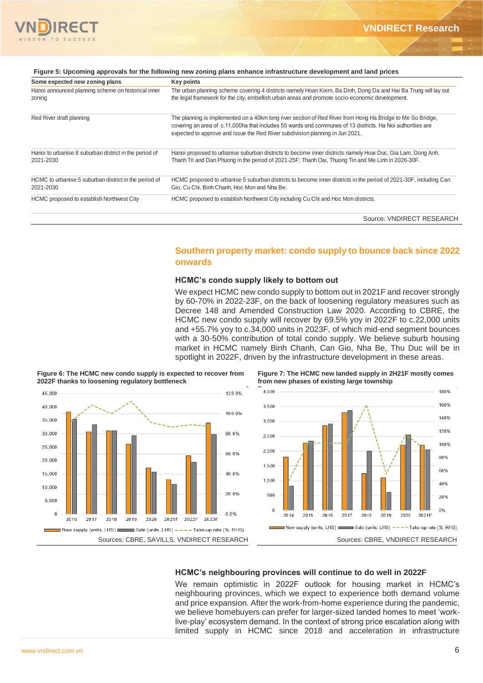

| Some expected new zoning plans                                      | <b>Key points</b>                                                                                                                                                                                                                                                                                         |
|---------------------------------------------------------------------|-----------------------------------------------------------------------------------------------------------------------------------------------------------------------------------------------------------------------------------------------------------------------------------------------------------|
| Hanoi announced planning scheme on historical inner<br>zoning       | The urban planning scheme covering 4 districts namely Hoan Kiem, Ba Dinh, Dong Da and Hai Ba Trung will lay out<br>the legal framework for the city, embellish urban areas and promote socio-economic development.                                                                                        |
| Red River draft planning                                            | The planning is implemented on a 40km long river section of Red River from Hong Ha Bridge to Me So Bridge,<br>covering an area of c.11,000ha that includes 55 wards and communes of 13 districts. Ha Noi authorities are<br>expected to approve and issue the Red River subdivision planning in Jun 2021. |
| Hanoi to urbanise 8 suburban district in the period of<br>2021-2030 | Hanoi proposed to urbanise suburban districts to become inner districts namely Hoai Duc, Gia Lam, Dong Anh,<br>Thanh Tri and Dan Phuong in the period of 2021-25F; Thanh Oai, Thuong Tin and Me Linh in 2026-30F.                                                                                         |
| HCMC to urbanise 5 suburban district in the period of<br>2021-2030  | HCMC proposed to urbanise 5 suburban districts to become inner districts in the period of 2021-30F, including Can<br>Gio, Cu Chi, Binh Chanh, Hoc Mon and Nha Be.                                                                                                                                         |
| HCMC proposed to establish Northwest City                           | HCMC proposed to establish Northwest City including Cu Chi and Hoc Mon districts.                                                                                                                                                                                                                         |
|                                                                     | Source: VNDIRECT RESEARCH                                                                                                                                                                                                                                                                                 |

### **Figure 5: Upcoming approvals for the following new zoning plans enhance infrastructure development and land prices**

# **Southern property market: condo supply to bounce back since 2022 onwards**

## **HCMC's condo supply likely to bottom out**

We expect HCMC new condo supply to bottom out in 2021F and recover strongly by 60-70% in 2022-23F, on the back of loosening regulatory measures such as Decree 148 and Amended Construction Law 2020. According to CBRE, the HCMC new condo supply will recover by 69.5% yoy in 2022F to c.22,000 units and +55.7% yoy to c.34,000 units in 2023F, of which mid-end segment bounces with a 30-50% contribution of total condo supply. We believe suburb housing market in HCMC namely Binh Chanh, Can Gio, Nha Be, Thu Duc will be in spotlight in 2022F, driven by the infrastructure development in these areas.



**Figure 6: The HCMC new condo supply is expected to recover from 2022F thanks to loosening regulatory bottleneck**





## **HCMC's neighbouring provinces will continue to do well in 2022F**

We remain optimistic in 2022F outlook for housing market in HCMC's neighbouring provinces, which we expect to experience both demand volume and price expansion. After the work-from-home experience during the pandemic, we believe homebuyers can prefer for larger-sized landed homes to meet 'worklive-play' ecosystem demand. In the context of strong price escalation along with limited supply in HCMC since 2018 and acceleration in infrastructure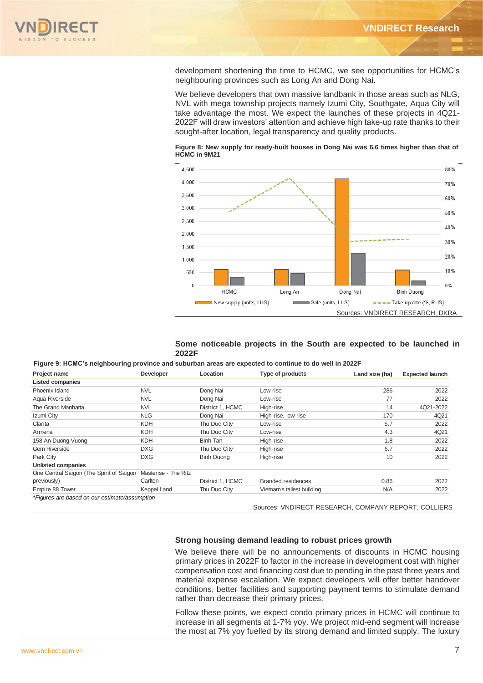

development shortening the time to HCMC, we see opportunities for HCMC's neighbouring provinces such as Long An and Dong Nai.

We believe developers that own massive landbank in those areas such as NLG, NVL with mega township projects namely Izumi City, Southgate, Aqua City will take advantage the most. We expect the launches of these projects in 4Q21- 2022F will draw investors' attention and achieve high take-up rate thanks to their sought-after location, legal transparency and quality products.





## **Some noticeable projects in the South are expected to be launched in 2022F**

**Figure 9: HCMC's neighbouring province and suburban areas are expected to continue to do well in 2022F**

| Project name                                  | Developer            | Type of products<br>Location |                            | Land size (ha) | <b>Expected launch</b> |  |
|-----------------------------------------------|----------------------|------------------------------|----------------------------|----------------|------------------------|--|
| <b>Listed companies</b>                       |                      |                              |                            |                |                        |  |
| Phoenix Island                                | <b>NVL</b>           | Dong Nai                     | Low-rise                   | 286            | 2022                   |  |
| Aqua Riverside                                | <b>NVL</b>           | Dong Nai                     | Low-rise                   | 77             | 2022                   |  |
| The Grand Manhatta                            | <b>NVL</b>           | District 1, HCMC             | High-rise                  | 14             | 4Q21-2022              |  |
| Izumi City                                    | <b>NLG</b>           | Dong Nai                     | High-rise, low-rise        | 170            | 4Q21                   |  |
| Clarita                                       | <b>KDH</b>           | Thu Duc City                 | Low-rise                   | 5.7            | 2022                   |  |
| Armena                                        | <b>KDH</b>           | Thu Duc City                 | Low-rise                   | 4.3            | 4Q21                   |  |
| 158 An Duong Vuong                            | <b>KDH</b>           | Binh Tan                     | High-rise                  | 1.8            | 2022                   |  |
| <b>Gem Riverside</b>                          | <b>DXG</b>           | Thu Duc City                 | High-rise                  | 6.7            | 2022                   |  |
| Park City                                     | <b>DXG</b>           | <b>Binh Duong</b>            | High-rise                  | 10             | 2022                   |  |
| Unlisted companies                            |                      |                              |                            |                |                        |  |
| One Central Saigon (The Spirit of Saigon      | Masterise - The Ritz |                              |                            |                |                        |  |
| previously)                                   | Carlton              | District 1, HCMC             | <b>Branded residences</b>  | 0.86           | 2022                   |  |
| Empire 88 Tower                               | Keppel Land          | Thu Duc City                 | Vietnam's tallest building | <b>N/A</b>     | 2022                   |  |
| *Figures are based on our estimate/assumption |                      |                              |                            |                |                        |  |

Sources: VNDIRECT RESEARCH, COMPANY REPORT, COLLIERS

### **Strong housing demand leading to robust prices growth**

We believe there will be no announcements of discounts in HCMC housing primary prices in 2022F to factor in the increase in development cost with higher compensation cost and financing cost due to pending in the past three years and material expense escalation. We expect developers will offer better handover conditions, better facilities and supporting payment terms to stimulate demand rather than decrease their primary prices.

Follow these points, we expect condo primary prices in HCMC will continue to increase in all segments at 1-7% yoy. We project mid-end segment will increase the most at 7% yoy fuelled by its strong demand and limited supply. The luxury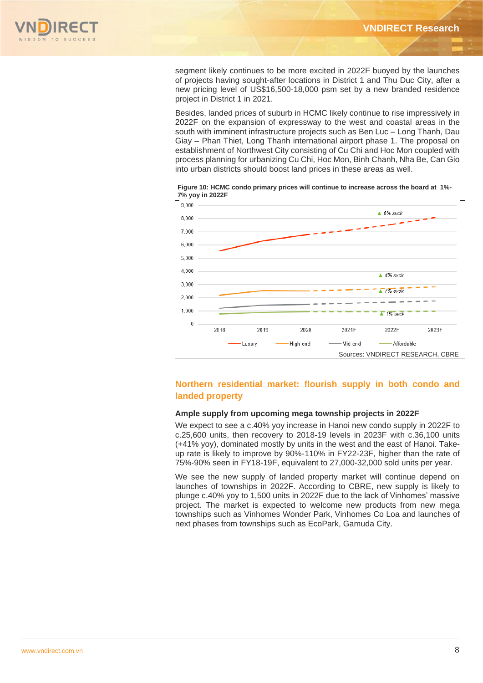

segment likely continues to be more excited in 2022F buoyed by the launches of projects having sought-after locations in District 1 and Thu Duc City, after a new pricing level of US\$16,500-18,000 psm set by a new branded residence project in District 1 in 2021.

Besides, landed prices of suburb in HCMC likely continue to rise impressively in 2022F on the expansion of expressway to the west and coastal areas in the south with imminent infrastructure projects such as Ben Luc – Long Thanh, Dau Giay – Phan Thiet, Long Thanh international airport phase 1. The proposal on establishment of Northwest City consisting of Cu Chi and Hoc Mon coupled with process planning for urbanizing Cu Chi, Hoc Mon, Binh Chanh, Nha Be, Can Gio into urban districts should boost land prices in these areas as well.





# **Northern residential market: flourish supply in both condo and landed property**

## **Ample supply from upcoming mega township projects in 2022F**

We expect to see a c.40% yoy increase in Hanoi new condo supply in 2022F to c.25,600 units, then recovery to 2018-19 levels in 2023F with c.36,100 units (+41% yoy), dominated mostly by units in the west and the east of Hanoi. Takeup rate is likely to improve by 90%-110% in FY22-23F, higher than the rate of 75%-90% seen in FY18-19F, equivalent to 27,000-32,000 sold units per year.

We see the new supply of landed property market will continue depend on launches of townships in 2022F. According to CBRE, new supply is likely to plunge c.40% yoy to 1,500 units in 2022F due to the lack of Vinhomes' massive project. The market is expected to welcome new products from new mega townships such as Vinhomes Wonder Park, Vinhomes Co Loa and launches of next phases from townships such as EcoPark, Gamuda City.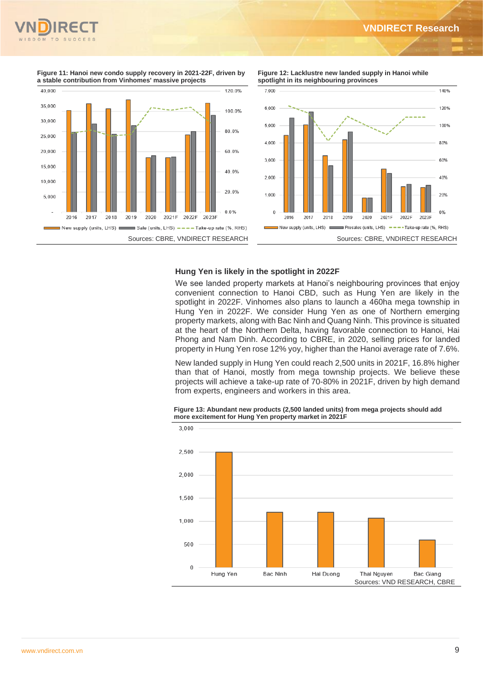

1,40%

120%

100%

8.0%

60%

40%

20%

0%





**Figure 11: Hanoi new condo supply recovery in 2021-22F, driven by a stable contribution from Vinhomes' massive projects**



## **Hung Yen is likely in the spotlight in 2022F**

We see landed property markets at Hanoi's neighbouring provinces that enjoy convenient connection to Hanoi CBD, such as Hung Yen are likely in the spotlight in 2022F. Vinhomes also plans to launch a 460ha mega township in Hung Yen in 2022F. We consider Hung Yen as one of Northern emerging property markets, along with Bac Ninh and Quang Ninh. This province is situated at the heart of the Northern Delta, having favorable connection to Hanoi, Hai Phong and Nam Dinh. According to CBRE, in 2020, selling prices for landed property in Hung Yen rose 12% yoy, higher than the Hanoi average rate of 7.6%.

New landed supply in Hung Yen could reach 2,500 units in 2021F, 16.8% higher than that of Hanoi, mostly from mega township projects. We believe these projects will achieve a take-up rate of 70-80% in 2021F, driven by high demand from experts, engineers and workers in this area.



**Figure 13: Abundant new products (2,500 landed units) from mega projects should add more excitement for Hung Yen property market in 2021F**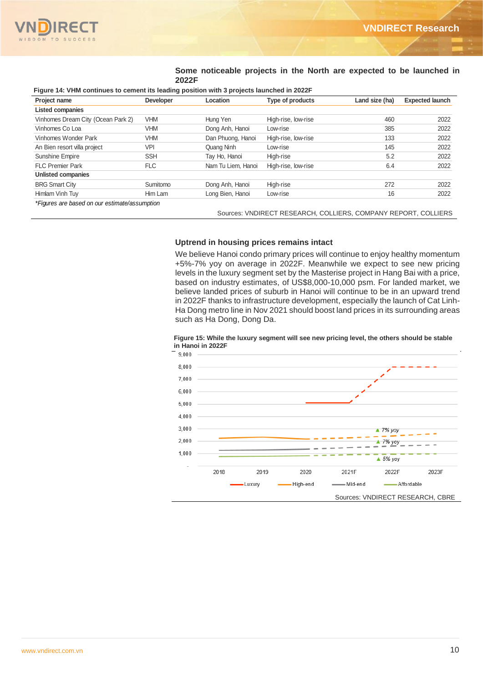

**Some noticeable projects in the North are expected to be launched in 2022F**

#### **Figure 14: VHM continues to cement its leading position with 3 projects launched in 2022F**

| Project name                                  | <b>Developer</b> | Location           | Type of products    | Land size (ha) | <b>Expected launch</b> |
|-----------------------------------------------|------------------|--------------------|---------------------|----------------|------------------------|
| <b>Listed companies</b>                       |                  |                    |                     |                |                        |
| Vinhomes Dream City (Ocean Park 2)            | <b>VHM</b>       | Hung Yen           | High-rise, low-rise | 460            | 2022                   |
| Vinhomes Co Loa                               | VHM              | Dong Anh, Hanoi    | Low-rise            | 385            | 2022                   |
| Vinhomes Wonder Park                          | VHM              | Dan Phuong, Hanoi  | High-rise, low-rise | 133            | 2022                   |
| An Bien resort villa project                  | <b>VPI</b>       | Quang Ninh         | Low-rise            | 145            | 2022                   |
| Sunshine Empire                               | <b>SSH</b>       | Tay Ho, Hanoi      | High-rise           | 5.2            | 2022                   |
| <b>FLC Premier Park</b>                       | FLC              | Nam Tu Liem, Hanoi | High-rise, low-rise | 6.4            | 2022                   |
| <b>Unlisted companies</b>                     |                  |                    |                     |                |                        |
| <b>BRG Smart City</b>                         | Sumitomo         | Dong Anh, Hanoi    | High-rise           | 272            | 2022                   |
| Himlam Vinh Tuy                               | Him Lam          | Long Bien, Hanoi   | Low-rise            | 16             | 2022                   |
| *Figures are based on our estimate/assumption |                  |                    |                     |                |                        |

Sources: VNDIRECT RESEARCH, COLLIERS, COMPANY REPORT, COLLIERS

## **Uptrend in housing prices remains intact**

We believe Hanoi condo primary prices will continue to enjoy healthy momentum +5%-7% yoy on average in 2022F. Meanwhile we expect to see new pricing levels in the luxury segment set by the Masterise project in Hang Bai with a price, based on industry estimates, of US\$8,000-10,000 psm. For landed market, we believe landed prices of suburb in Hanoi will continue to be in an upward trend in 2022F thanks to infrastructure development, especially the launch of Cat Linh-Ha Dong metro line in Nov 2021 should boost land prices in its surrounding areas such as Ha Dong, Dong Da.



#### **Figure 15: While the luxury segment will see new pricing level, the others should be stable in Hanoi in 2022F**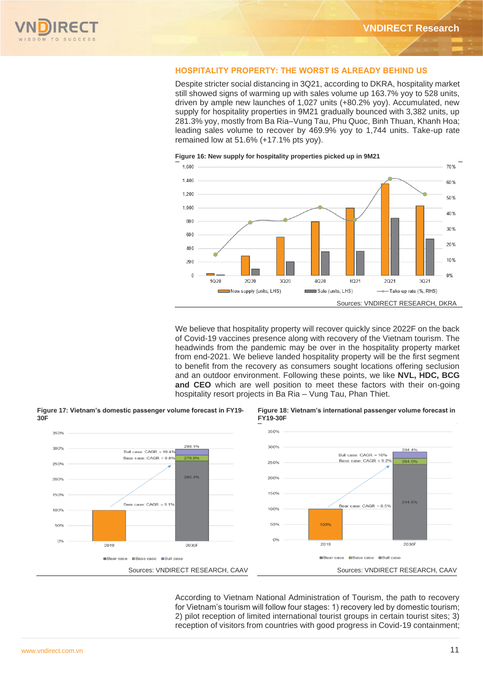

## **HOSPITALITY PROPERTY: THE WORST IS ALREADY BEHIND US**

Despite stricter social distancing in 3Q21, according to DKRA, hospitality market still showed signs of warming up with sales volume up 163.7% yoy to 528 units, driven by ample new launches of 1,027 units (+80.2% yoy). Accumulated, new supply for hospitality properties in 9M21 gradually bounced with 3,382 units, up 281.3% yoy, mostly from Ba Ria–Vung Tau, Phu Quoc, Binh Thuan, Khanh Hoa; leading sales volume to recover by 469.9% yoy to 1,744 units. Take-up rate remained low at 51.6% (+17.1% pts yoy).



**Figure 16: New supply for hospitality properties picked up in 9M21**

We believe that hospitality property will recover quickly since 2022F on the back of Covid-19 vaccines presence along with recovery of the Vietnam tourism. The headwinds from the pandemic may be over in the hospitality property market from end-2021. We believe landed hospitality property will be the first segment to benefit from the recovery as consumers sought locations offering seclusion and an outdoor environment. Following these points, we like **NVL, HDC, BCG and CEO** which are well position to meet these factors with their on-going hospitality resort projects in Ba Ria – Vung Tau, Phan Thiet.



**Figure 17: Vietnam's domestic passenger volume forecast in FY19-**

**Figure 18: Vietnam's international passenger volume forecast in FY19-30F**

According to Vietnam National Administration of Tourism, the path to recovery for Vietnam's tourism will follow four stages: 1) recovery led by domestic tourism; 2) pilot reception of limited international tourist groups in certain tourist sites; 3) reception of visitors from countries with good progress in Covid-19 containment;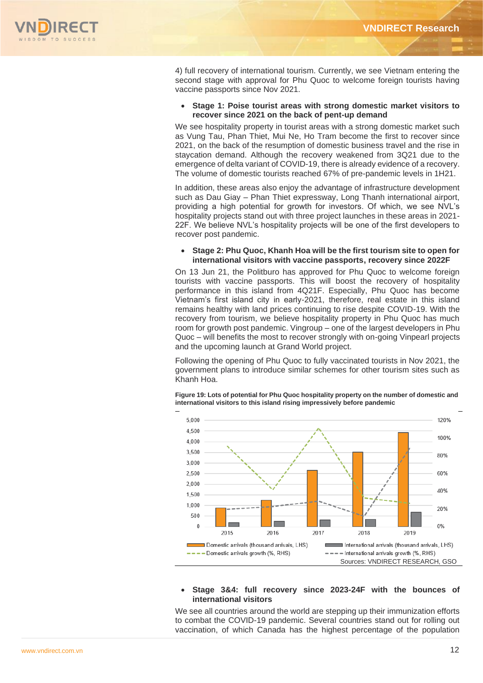

4) full recovery of international tourism. Currently, we see Vietnam entering the second stage with approval for Phu Quoc to welcome foreign tourists having vaccine passports since Nov 2021.

• **Stage 1: Poise tourist areas with strong domestic market visitors to recover since 2021 on the back of pent-up demand**

We see hospitality property in tourist areas with a strong domestic market such as Vung Tau, Phan Thiet, Mui Ne, Ho Tram become the first to recover since 2021, on the back of the resumption of domestic business travel and the rise in staycation demand. Although the recovery weakened from 3Q21 due to the emergence of delta variant of COVID-19, there is already evidence of a recovery. The volume of domestic tourists reached 67% of pre-pandemic levels in 1H21.

In addition, these areas also enjoy the advantage of infrastructure development such as Dau Giay – Phan Thiet expressway, Long Thanh international airport, providing a high potential for growth for investors. Of which, we see NVL's hospitality projects stand out with three project launches in these areas in 2021- 22F. We believe NVL's hospitality projects will be one of the first developers to recover post pandemic.

## • **Stage 2: Phu Quoc, Khanh Hoa will be the first tourism site to open for international visitors with vaccine passports, recovery since 2022F**

On 13 Jun 21, the Politburo has approved for Phu Quoc to welcome foreign tourists with vaccine passports. This will boost the recovery of hospitality performance in this island from 4Q21F. Especially, Phu Quoc has become Vietnam's first island city in early-2021, therefore, real estate in this island remains healthy with land prices continuing to rise despite COVID-19. With the recovery from tourism, we believe hospitality property in Phu Quoc has much room for growth post pandemic. Vingroup – one of the largest developers in Phu Quoc – will benefits the most to recover strongly with on-going Vinpearl projects and the upcoming launch at Grand World project.

Following the opening of Phu Quoc to fully vaccinated tourists in Nov 2021, the government plans to introduce similar schemes for other tourism sites such as Khanh Hoa.

**Figure 19: Lots of potential for Phu Quoc hospitality property on the number of domestic and international visitors to this island rising impressively before pandemic**



## • **Stage 3&4: full recovery since 2023-24F with the bounces of international visitors**

We see all countries around the world are stepping up their immunization efforts to combat the COVID-19 pandemic. Several countries stand out for rolling out vaccination, of which Canada has the highest percentage of the population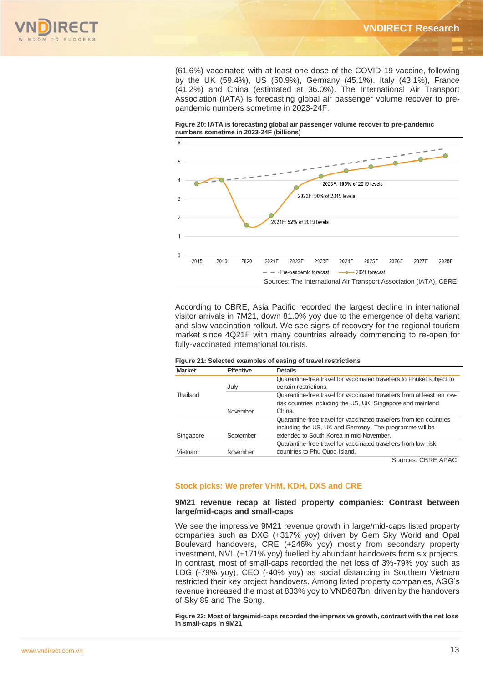

(61.6%) vaccinated with at least one dose of the COVID-19 vaccine, following by the UK (59.4%), US (50.9%), Germany (45.1%), Italy (43.1%), France (41.2%) and China (estimated at 36.0%). The International Air Transport Association (IATA) is forecasting global air passenger volume recover to prepandemic numbers sometime in 2023-24F.





According to CBRE, Asia Pacific recorded the largest decline in international visitor arrivals in 7M21, down 81.0% yoy due to the emergence of delta variant and slow vaccination rollout. We see signs of recovery for the regional tourism market since 4Q21F with many countries already commencing to re-open for fully-vaccinated international tourists.

| <b>Market</b>                 | <b>Effective</b> | <b>Details</b>                                                                                                                                                                                                                                                                                                                                                                                                                                                                                                                                                                                                                      |
|-------------------------------|------------------|-------------------------------------------------------------------------------------------------------------------------------------------------------------------------------------------------------------------------------------------------------------------------------------------------------------------------------------------------------------------------------------------------------------------------------------------------------------------------------------------------------------------------------------------------------------------------------------------------------------------------------------|
|                               | July             | Quarantine-free travel for vaccinated travellers to Phuket subject to<br>certain restrictions.                                                                                                                                                                                                                                                                                                                                                                                                                                                                                                                                      |
| Thailand                      |                  | Quarantine-free travel for vaccinated travellers from at least ten low-                                                                                                                                                                                                                                                                                                                                                                                                                                                                                                                                                             |
|                               |                  | risk countries including the US, UK, Singapore and mainland                                                                                                                                                                                                                                                                                                                                                                                                                                                                                                                                                                         |
|                               | November         | China.                                                                                                                                                                                                                                                                                                                                                                                                                                                                                                                                                                                                                              |
|                               |                  | Quarantine-free travel for vaccinated travellers from ten countries                                                                                                                                                                                                                                                                                                                                                                                                                                                                                                                                                                 |
|                               |                  | including the US, UK and Germany. The programme will be                                                                                                                                                                                                                                                                                                                                                                                                                                                                                                                                                                             |
| Singapore                     | September        | extended to South Korea in mid-November.                                                                                                                                                                                                                                                                                                                                                                                                                                                                                                                                                                                            |
|                               |                  | Quarantine-free travel for vaccinated travellers from low-risk                                                                                                                                                                                                                                                                                                                                                                                                                                                                                                                                                                      |
| Vietnam                       | November         | countries to Phu Quoc Island.                                                                                                                                                                                                                                                                                                                                                                                                                                                                                                                                                                                                       |
|                               |                  | Sources: CBRE APAC                                                                                                                                                                                                                                                                                                                                                                                                                                                                                                                                                                                                                  |
| large/mid-caps and small-caps |                  | 9M21 revenue recap at listed property companies: Contrast between                                                                                                                                                                                                                                                                                                                                                                                                                                                                                                                                                                   |
| of Sky 89 and The Song.       |                  | We see the impressive 9M21 revenue growth in large/mid-caps listed property<br>companies such as DXG (+317% yoy) driven by Gem Sky World and Opal<br>Boulevard handovers, CRE (+246% yoy) mostly from secondary property<br>investment, NVL (+171% yoy) fuelled by abundant handovers from six projects.<br>In contrast, most of small-caps recorded the net loss of 3%-79% yoy such as<br>LDG (-79% yoy), CEO (-40% yoy) as social distancing in Southern Vietnam<br>restricted their key project handovers. Among listed property companies, AGG's<br>revenue increased the most at 833% yoy to VND687bn, driven by the handovers |
| in small-caps in 9M21         |                  | Figure 22: Most of large/mid-caps recorded the impressive growth, contrast with the net loss                                                                                                                                                                                                                                                                                                                                                                                                                                                                                                                                        |

|  |  |  | Figure 21: Selected examples of easing of travel restrictions |
|--|--|--|---------------------------------------------------------------|
|--|--|--|---------------------------------------------------------------|

## **Stock picks: We prefer VHM, KDH, DXS and CRE**

## **9M21 revenue recap at listed property companies: Contrast between large/mid-caps and small-caps**

**Figure 22: Most of large/mid-caps recorded the impressive growth, contrast with the net loss**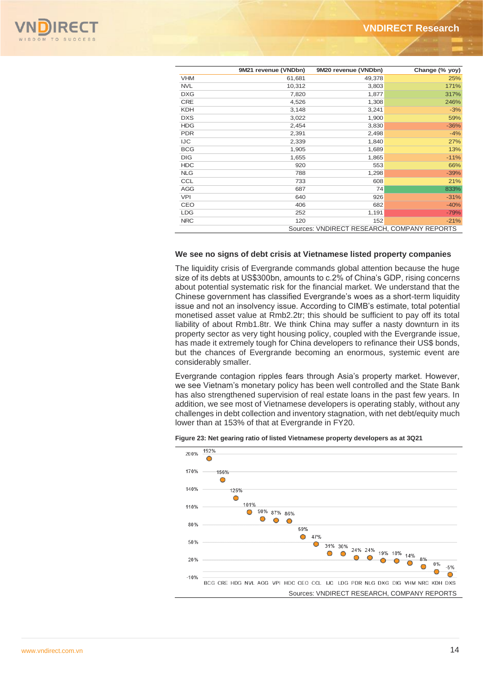

|            | 9M21 revenue (VNDbn)                        | 9M20 revenue (VNDbn) | Change (% yoy) |  |  |  |  |
|------------|---------------------------------------------|----------------------|----------------|--|--|--|--|
| <b>VHM</b> | 61,681                                      | 49,378               | 25%            |  |  |  |  |
| <b>NVL</b> | 10,312                                      | 3,803                | 171%           |  |  |  |  |
| <b>DXG</b> | 7,820                                       | 1,877                | 317%           |  |  |  |  |
| <b>CRE</b> | 4,526                                       | 1,308                | 246%           |  |  |  |  |
| <b>KDH</b> | 3,148                                       | 3,241                | $-3%$          |  |  |  |  |
| <b>DXS</b> | 3,022                                       | 1,900                | 59%            |  |  |  |  |
| <b>HDG</b> | 2,454                                       | 3,830                | $-36%$         |  |  |  |  |
| <b>PDR</b> | 2,391                                       | 2,498                | $-4%$          |  |  |  |  |
| <b>IJC</b> | 2,339                                       | 1,840                | 27%            |  |  |  |  |
| <b>BCG</b> | 1,905                                       | 1,689                | 13%            |  |  |  |  |
| <b>DIG</b> | 1,655                                       | 1,865                | $-11%$         |  |  |  |  |
| <b>HDC</b> | 920                                         | 553                  | 66%            |  |  |  |  |
| <b>NLG</b> | 788                                         | 1,298                | $-39%$         |  |  |  |  |
| <b>CCL</b> | 733                                         | 608                  | 21%            |  |  |  |  |
| AGG        | 687                                         | 74                   | 833%           |  |  |  |  |
| <b>VPI</b> | 640                                         | 926                  | $-31%$         |  |  |  |  |
| CEO        | 406                                         | 682                  | $-40%$         |  |  |  |  |
| <b>LDG</b> | 252                                         | 1,191                | $-79%$         |  |  |  |  |
| <b>NRC</b> | 120                                         | 152                  | $-21%$         |  |  |  |  |
|            | Sources: VNDIRECT RESEARCH, COMPANY REPORTS |                      |                |  |  |  |  |

## **We see no signs of debt crisis at Vietnamese listed property companies**

The liquidity crisis of Evergrande commands global attention because the huge size of its debts at US\$300bn, amounts to c.2% of China's GDP, rising concerns about potential systematic risk for the financial market. We understand that the Chinese government has classified Evergrande's woes as a short-term liquidity issue and not an insolvency issue. According to CIMB's estimate, total potential monetised asset value at Rmb2.2tr; this should be sufficient to pay off its total liability of about Rmb1.8tr. We think China may suffer a nasty downturn in its property sector as very tight housing policy, coupled with the Evergrande issue, has made it extremely tough for China developers to refinance their US\$ bonds, but the chances of Evergrande becoming an enormous, systemic event are considerably smaller.

Evergrande contagion ripples fears through Asia's property market. However, we see Vietnam's monetary policy has been well controlled and the State Bank has also strengthened supervision of real estate loans in the past few years. In addition, we see most of Vietnamese developers is operating stably, without any challenges in debt collection and inventory stagnation, with net debt/equity much lower than at 153% of that at Evergrande in FY20.



#### **Figure 23: Net gearing ratio of listed Vietnamese property developers as at 3Q21**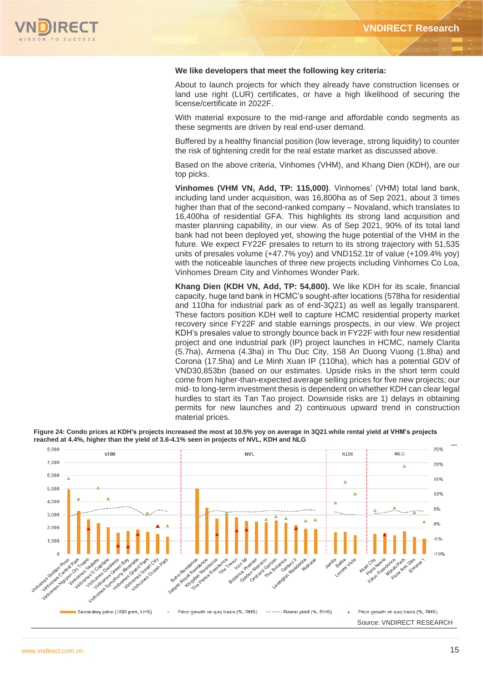

## **We like developers that meet the following key criteria:**

About to launch projects for which they already have construction licenses or land use right (LUR) certificates, or have a high likelihood of securing the license/certificate in 2022F.

With material exposure to the mid-range and affordable condo segments as these segments are driven by real end-user demand.

Buffered by a healthy financial position (low leverage, strong liquidity) to counter the risk of tightening credit for the real estate market as discussed above.

Based on the above criteria, Vinhomes (VHM), and Khang Dien (KDH), are our top picks.

**Vinhomes (VHM VN, Add, TP: 115,000)**. Vinhomes' (VHM) total land bank, including land under acquisition, was 16,800ha as of Sep 2021, about 3 times higher than that of the second-ranked company – Novaland, which translates to 16,400ha of residential GFA. This highlights its strong land acquisition and master planning capability, in our view. As of Sep 2021, 90% of its total land bank had not been deployed yet, showing the huge potential of the VHM in the future. We expect FY22F presales to return to its strong trajectory with 51,535 units of presales volume (+47.7% yoy) and VND152.1tr of value (+109.4% yoy) with the noticeable launches of three new projects including Vinhomes Co Loa, Vinhomes Dream City and Vinhomes Wonder Park.

**Khang Dien (KDH VN, Add, TP: 54,800).** We like KDH for its scale, financial capacity, huge land bank in HCMC's sought-after locations (578ha for residential and 110ha for industrial park as of end-3Q21) as well as legally transparent. These factors position KDH well to capture HCMC residential property market recovery since FY22F and stable earnings prospects, in our view. We project KDH's presales value to strongly bounce back in FY22F with four new residential project and one industrial park (IP) project launches in HCMC, namely Clarita (5.7ha), Armena (4.3ha) in Thu Duc City, 158 An Duong Vuong (1.8ha) and Corona (17.5ha) and Le Minh Xuan IP (110ha), which has a potential GDV of VND30,853bn (based on our estimates. Upside risks in the short term could come from higher-than-expected average selling prices for five new projects; our mid- to long-term investment thesis is dependent on whether KDH can clear legal hurdles to start its Tan Tao project. Downside risks are 1) delays in obtaining permits for new launches and 2) continuous upward trend in construction material prices.

**Figure 24: Condo prices at KDH's projects increased the most at 10.5% yoy on average in 3Q21 while rental yield at VHM's projects reached at 4.4%, higher than the yield of 3.6-4.1% seen in projects of NVL, KDH and NLG**

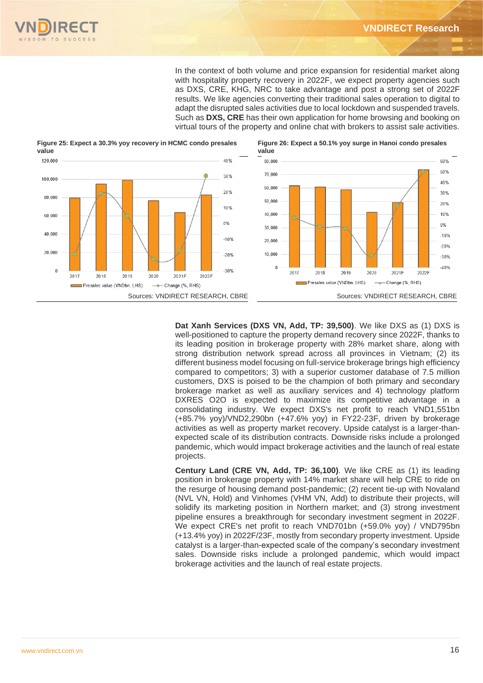

In the context of both volume and price expansion for residential market along with hospitality property recovery in 2022F, we expect property agencies such as DXS, CRE, KHG, NRC to take advantage and post a strong set of 2022F results. We like agencies converting their traditional sales operation to digital to adapt the disrupted sales activities due to local lockdown and suspended travels. Such as **DXS, CRE** has their own application for home browsing and booking on virtual tours of the property and online chat with brokers to assist sale activities.

**Figure 26: Expect a 50.1% yoy surge in Hanoi condo presales** 





**Dat Xanh Services (DXS VN, Add, TP: 39,500)**. We like DXS as (1) DXS is well-positioned to capture the property demand recovery since 2022F, thanks to its leading position in brokerage property with 28% market share, along with strong distribution network spread across all provinces in Vietnam; (2) its different business model focusing on full-service brokerage brings high efficiency compared to competitors; 3) with a superior customer database of 7.5 million customers, DXS is poised to be the champion of both primary and secondary brokerage market as well as auxiliary services and 4) technology platform DXRES O2O is expected to maximize its competitive advantage in a consolidating industry. We expect DXS's net profit to reach VND1,551bn (+85.7% yoy)/VND2,290bn (+47.6% yoy) in FY22-23F, driven by brokerage activities as well as property market recovery. Upside catalyst is a larger-thanexpected scale of its distribution contracts. Downside risks include a prolonged pandemic, which would impact brokerage activities and the launch of real estate projects.

**Century Land (CRE VN, Add, TP: 36,100)**. We like CRE as (1) its leading position in brokerage property with 14% market share will help CRE to ride on the resurge of housing demand post-pandemic; (2) recent tie-up with Novaland (NVL VN, Hold) and Vinhomes (VHM VN, Add) to distribute their projects, will solidify its marketing position in Northern market; and (3) strong investment pipeline ensures a breakthrough for secondary investment segment in 2022F. We expect CRE's net profit to reach VND701bn (+59.0% yoy) / VND795bn (+13.4% yoy) in 2022F/23F, mostly from secondary property investment. Upside catalyst is a larger-than-expected scale of the company's secondary investment sales. Downside risks include a prolonged pandemic, which would impact brokerage activities and the launch of real estate projects.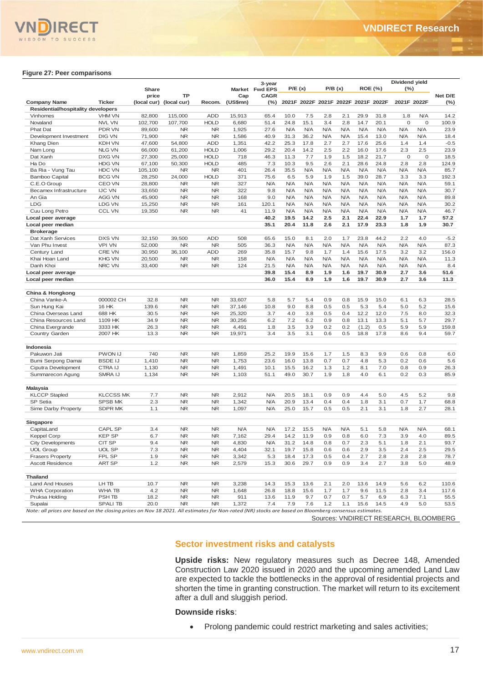

#### **Figure 27: Peer comparisons**

|                                                                                                                                                      |                                   |                         |                        |                         |                                                                                    | 3-year                        |                    |                                     |            |                          |             | <b>ROE (%)</b>     | Dividend yield           |                          |                                       |
|------------------------------------------------------------------------------------------------------------------------------------------------------|-----------------------------------|-------------------------|------------------------|-------------------------|------------------------------------------------------------------------------------|-------------------------------|--------------------|-------------------------------------|------------|--------------------------|-------------|--------------------|--------------------------|--------------------------|---------------------------------------|
|                                                                                                                                                      |                                   | Share<br>price          | <b>TP</b>              |                         | Cap                                                                                | Market Fwd EPS<br><b>CAGR</b> |                    | P/E(x)                              |            | P/B(x)                   |             |                    | $(\%)$                   |                          | Net D/E                               |
| <b>Company Name</b>                                                                                                                                  | <b>Ticker</b>                     | (local cur) (local cur) |                        | Recom.                  | (US\$mm)                                                                           | $(\% )$                       |                    | 2021F 2022F 2021F 2022F 2021F 2022F |            |                          |             |                    |                          | 2021F 2022F              | $(\% )$                               |
| Residential/hospitality developers                                                                                                                   |                                   |                         |                        |                         |                                                                                    |                               |                    |                                     |            |                          |             |                    |                          |                          |                                       |
| Vinhomes                                                                                                                                             | <b>VHM VN</b>                     | 82,800                  | 115,000                | <b>ADD</b>              | 15,913                                                                             | 65.4                          | 10.0               | 7.5                                 | 2.8        | 2.1                      | 29.9        | 31.8               | 1.8                      | <b>N/A</b>               | 14.2                                  |
| Novaland                                                                                                                                             | <b>NVL VN</b>                     | 102,700                 | 107,700                | <b>HOLD</b>             | 6,680                                                                              | 51.4                          | 24.8               | 15.1                                | 3.4        | 2.8                      | 14.7        | 20.1               | $\mathsf O$              | $\mathbf 0$              | 100.9                                 |
| <b>Phat Dat</b><br>Development Investment                                                                                                            | PDR VN<br>DIG VN                  | 89,600<br>71,900        | <b>NR</b><br><b>NR</b> | <b>NR</b><br><b>NR</b>  | 1,925<br>1,586                                                                     | 27.6<br>40.9                  | <b>N/A</b><br>31.3 | <b>N/A</b><br>36.2                  | N/A<br>N/A | <b>N/A</b><br><b>N/A</b> | N/A<br>15.4 | <b>N/A</b><br>13.0 | <b>N/A</b><br><b>N/A</b> | <b>N/A</b><br><b>N/A</b> | 23.9<br>18.4                          |
| Khang Dien                                                                                                                                           | KDH VN                            | 47,600                  | 54,800                 | <b>ADD</b>              | 1,351                                                                              | 42.2                          | 25.3               | 17.8                                | 2.7        | 2.7                      | 17.6        | 25.6               | 1.4                      | 1.4                      | $-0.5$                                |
| Nam Long                                                                                                                                             | <b>NLG VN</b>                     | 66,000                  | 61,200                 | <b>HOLD</b>             | 1,006                                                                              | 29.2                          | 20.4               | 14.2                                | 2.5        | 2.2                      | 16.0        | 17.6               | 2.3                      | 2.5                      | 23.9                                  |
| Dat Xanh                                                                                                                                             | DXG VN                            | 27,300                  | 25,000                 | <b>HOLD</b>             | 718                                                                                | 46.3                          | 11.3               | 7.7                                 | 1.9        | 1.5                      | 18.2        | 21.7               | $\mathsf O$              | $\mathbf 0$              | 18.5                                  |
| Ha Do                                                                                                                                                | <b>HDG VN</b>                     | 67,100                  | 50,300                 | <b>HOLD</b>             | 485                                                                                | 7.3                           | 10.3               | 9.5                                 | 2.6        | 2.1                      | 28.6        | 24.8               | 2.8                      | 2.8                      | 124.9                                 |
| Ba Ria - Vung Tau                                                                                                                                    | HDC VN                            | 105,100                 | <b>NR</b>              | <b>NR</b>               | 401                                                                                | 26.4                          | 35.5               | <b>N/A</b>                          | N/A        | <b>N/A</b>               | <b>N/A</b>  | <b>N/A</b>         | <b>N/A</b>               | <b>N/A</b>               | 85.7                                  |
| Bamboo Capital                                                                                                                                       | <b>BCG VN</b>                     | 28,250                  | 24,000                 | <b>HOLD</b>             | 371                                                                                | 75.6                          | 6.5                | 5.9                                 | 1.9        | 1.5                      | 39.0        | 28.7               | 3.3                      | 3.3                      | 192.3                                 |
| C.E.O Group                                                                                                                                          | <b>CEO VN</b>                     | 28,800                  | <b>NR</b>              | <b>NR</b>               | 327                                                                                | N/A                           | <b>N/A</b>         | <b>N/A</b>                          | N/A        | <b>N/A</b>               | <b>N/A</b>  | <b>N/A</b>         | <b>N/A</b>               | <b>N/A</b>               | 59.1                                  |
| Becamex Infrastructure                                                                                                                               | <b>IJC VN</b>                     | 33,650                  | <b>NR</b>              | <b>NR</b>               | 322                                                                                | 9.8                           | <b>N/A</b>         | <b>N/A</b>                          | N/A        | <b>N/A</b>               | N/A         | <b>N/A</b>         | <b>N/A</b>               | <b>N/A</b>               | 30.7                                  |
| An Gia                                                                                                                                               | AGG VN                            | 45,900                  | <b>NR</b>              | <b>NR</b>               | 168                                                                                | 9.0                           | N/A                | <b>N/A</b>                          | N/A        | <b>N/A</b>               | N/A         | N/A                | <b>N/A</b>               | <b>N/A</b>               | 89.8                                  |
| <b>LDG</b>                                                                                                                                           | LDG VN                            | 15,250                  | <b>NR</b>              | <b>NR</b>               | 161                                                                                | 120.1                         | <b>N/A</b>         | <b>N/A</b>                          | N/A        | <b>N/A</b>               | N/A         | <b>N/A</b>         | <b>N/A</b>               | <b>N/A</b>               | 30.2                                  |
| Cuu Long Petro                                                                                                                                       | <b>CCL VN</b>                     | 19,350                  | <b>NR</b>              | <b>NR</b>               | 41                                                                                 | 11.9                          | <b>N/A</b>         | <b>N/A</b>                          | N/A        | <b>N/A</b>               | N/A         | <b>N/A</b>         | <b>N/A</b>               | <b>N/A</b>               | 46.7                                  |
| Local peer average                                                                                                                                   |                                   |                         |                        |                         |                                                                                    | 40.2                          | 19.5               | 14.2                                | 2.5        | 2.1                      | 22.4        | 22.9               | 1.7                      | 1.7                      | 57.2                                  |
| Local peer median                                                                                                                                    |                                   |                         |                        |                         |                                                                                    | 35.1                          | 20.4               | 11.8                                | 2.6        | 2.1                      | 17.9        | 23.3               | 1.8                      | 1.9                      | 30.7                                  |
| <b>Brokerage</b>                                                                                                                                     |                                   |                         |                        |                         |                                                                                    |                               |                    |                                     |            |                          |             |                    |                          |                          |                                       |
| Dat Xanh Services<br>Van Phu Invest                                                                                                                  | <b>DXS VN</b><br><b>VPI VN</b>    | 32,150                  | 39,500<br><b>NR</b>    | <b>ADD</b><br><b>NR</b> | 508<br>505                                                                         | 65.6<br>36.3                  | 15.0<br><b>N/A</b> | 8.1<br>N/A                          | 2.0<br>N/A | 1.7<br><b>N/A</b>        | 23.8<br>N/A | 44.2<br><b>N/A</b> | 2.2<br><b>N/A</b>        | 4.0<br><b>N/A</b>        | $-5.2$<br>87.3                        |
| Century Land                                                                                                                                         | CRE VN                            | 52,000<br>30,950        | 36,100                 | <b>ADD</b>              | 269                                                                                | 35.8                          | 15.7               | 9.8                                 | 1.7        | 1.4                      | 15.6        | 17.5               | 3.2                      | 3.2                      | 156.0                                 |
| Khai Hoan Land                                                                                                                                       | <b>KHG VN</b>                     | 20,500                  | <b>NR</b>              | <b>NR</b>               | 158                                                                                | <b>N/A</b>                    | <b>N/A</b>         | <b>N/A</b>                          | N/A        | <b>N/A</b>               | <b>N/A</b>  | <b>N/A</b>         | <b>N/A</b>               | N/A                      | 11.3                                  |
| Danh Khoi                                                                                                                                            | NRC VN                            | 33,400                  | <b>NR</b>              | <b>NR</b>               | 124                                                                                | 21.5                          | N/A                | N/A                                 | N/A        | <b>N/A</b>               | N/A         | <b>N/A</b>         | <b>N/A</b>               | <b>N/A</b>               | 8.4                                   |
| Local peer average                                                                                                                                   |                                   |                         |                        |                         |                                                                                    | 39.8                          | 15.4               | 8.9                                 | 1.9        | 1.6                      | 19.7        | 30.9               | 2.7                      | 3.6                      | 51.6                                  |
| Local peer median                                                                                                                                    |                                   |                         |                        |                         |                                                                                    | 36.0                          | 15.4               | 8.9                                 | 1.9        | 1.6                      | 19.7        | 30.9               | 2.7                      | 3.6                      | 11.3                                  |
|                                                                                                                                                      |                                   |                         |                        |                         |                                                                                    |                               |                    |                                     |            |                          |             |                    |                          |                          |                                       |
| China & Hongkong                                                                                                                                     |                                   |                         |                        |                         |                                                                                    |                               |                    |                                     |            |                          |             |                    |                          |                          |                                       |
| China Vanke-A                                                                                                                                        | 000002 CH                         | 32.8                    | <b>NR</b>              | <b>NR</b>               | 33,607                                                                             | 5.8                           | 5.7                | 5.4                                 | 0.9        | 0.8                      | 15.9        | 15.0               | 6.1                      | 6.3                      | 28.5                                  |
| Sun Hung Kai                                                                                                                                         | 16 HK                             | 139.6                   | <b>NR</b>              | <b>NR</b>               | 37,146                                                                             | 10.8                          | 9.0                | 8.8                                 | 0.5        | 0.5                      | 5.3         | 5.4                | 5.0                      | 5.2                      | 15.6                                  |
| China Overseas Land                                                                                                                                  | 688 HK                            | 30.5                    | <b>NR</b>              | <b>NR</b>               | 25,320                                                                             | 3.7                           | 4.0                | 3.8                                 | 0.5        | 0.4                      | 12.2        | 12.0               | 7.5                      | 8.0                      | 32.3                                  |
| China Resources Land                                                                                                                                 | 1109 HK                           | 34.9                    | <b>NR</b>              | <b>NR</b>               | 30,256                                                                             | 6.2                           | 7.2                | 6.2                                 | 0.9        | 0.8                      | 13.1        | 13.3               | 5.1                      | 5.7                      | 29.7                                  |
| China Evergrande                                                                                                                                     | 3333 HK                           | 26.3                    | <b>NR</b>              | <b>NR</b>               | 4,491                                                                              | 1.8                           | 3.5                | 3.9                                 | 0.2        | 0.2                      | (1.2)       | 0.5                | 5.9                      | 5.9                      | 159.8                                 |
| Country Garden                                                                                                                                       | 2007 HK                           | 13.3                    | <b>NR</b>              | <b>NR</b>               | 19,971                                                                             | 3.4                           | 3.5                | 3.1                                 | 0.6        | 0.5                      | 18.8        | 17.8               | 8.6                      | 9.4                      | 59.7                                  |
|                                                                                                                                                      |                                   |                         |                        |                         |                                                                                    |                               |                    |                                     |            |                          |             |                    |                          |                          |                                       |
| Indonesia                                                                                                                                            |                                   |                         |                        |                         |                                                                                    |                               |                    |                                     |            |                          |             |                    |                          |                          |                                       |
| Pakuwon Jati                                                                                                                                         | PWON IJ                           | 740                     | <b>NR</b>              | <b>NR</b>               | 1,859                                                                              | 25.2                          | 19.9               | 15.6                                | 1.7        | 1.5                      | 8.3         | 9.9                | 0.6                      | 0.8                      | 6.0                                   |
| Bumi Serpong Damai                                                                                                                                   | <b>BSDE IJ</b><br>CTRA IJ         | 1,410<br>1,130          | <b>NR</b><br><b>NR</b> | <b>NR</b><br><b>NR</b>  | 1,753                                                                              | 23.6<br>10.1                  | 16.0<br>15.5       | 13.8<br>16.2                        | 0.7<br>1.3 | 0.7<br>1.2               | 4.8<br>8.1  | 5.3<br>7.0         | 0.2<br>0.8               | 0.6<br>0.9               | 5.6<br>26.3                           |
| Ciputra Development<br>Summarecon Agung                                                                                                              | SMRA IJ                           | 1,134                   | <b>NR</b>              | <b>NR</b>               | 1,491<br>1,103                                                                     | 51.1                          | 49.0               | 30.7                                | 1.9        | 1.8                      | 4.0         | 6.1                | 0.2                      | 0.3                      | 85.9                                  |
|                                                                                                                                                      |                                   |                         |                        |                         |                                                                                    |                               |                    |                                     |            |                          |             |                    |                          |                          |                                       |
| <b>Malaysia</b>                                                                                                                                      |                                   |                         |                        |                         |                                                                                    |                               |                    |                                     |            |                          |             |                    |                          |                          |                                       |
| <b>KLCCP Stapled</b>                                                                                                                                 | <b>KLCCSS MK</b>                  | 7.7                     | <b>NR</b>              | <b>NR</b>               | 2,912                                                                              | N/A                           | 20.5               | 18.1                                | 0.9        | 0.9                      | 4.4         | 5.0                | 4.5                      | 5.2                      | 9.8                                   |
| SP Setia                                                                                                                                             | SPSB MK                           | 2.3                     | <b>NR</b>              | <b>NR</b>               | 1,342                                                                              | <b>N/A</b>                    | 20.9               | 13.4                                | 0.4        | 0.4                      | 1.8         | 3.1                | 0.7                      | 1.7                      | 68.8                                  |
| Sime Darby Property                                                                                                                                  | <b>SDPR MK</b>                    | 1.1                     | <b>NR</b>              | <b>NR</b>               | 1,097                                                                              | N/A                           | 25.0               | 15.7                                | 0.5        | 0.5                      | 2.1         | 3.1                | 1.8                      | 2.7                      | 28.1                                  |
|                                                                                                                                                      |                                   |                         |                        |                         |                                                                                    |                               |                    |                                     |            |                          |             |                    |                          |                          |                                       |
| Singapore                                                                                                                                            |                                   |                         |                        |                         |                                                                                    |                               |                    |                                     |            |                          |             |                    |                          |                          |                                       |
| CapitaLand                                                                                                                                           | <b>CAPL SP</b>                    | 3.4                     | <b>NR</b>              | <b>NR</b>               | <b>N/A</b>                                                                         | <b>N/A</b>                    | 17.2               | 15.5                                | N/A        | N/A                      | 5.1         | 5.8                | <b>N/A</b>               | <b>N/A</b>               | 68.1                                  |
| <b>Keppel Corp</b>                                                                                                                                   | <b>KEP SP</b>                     | 6.7                     | <b>NR</b>              | <b>NR</b>               | 7,162                                                                              | 29.4                          | 14.2               | 11.9                                | 0.9        | 0.8                      | 6.0         | 7.3                | 3.9                      | 4.0                      | 89.5                                  |
| <b>City Developments</b>                                                                                                                             | CIT SP                            | 9.4                     | <b>NR</b>              | ${\sf NR}$              | 4,830                                                                              | <b>N/A</b>                    | 31.2               | 14.8                                | 0.8        | 0.7                      | 2.3         | 5.1                | 1.8                      | 2.1                      | 93.7                                  |
| <b>UOL Group</b>                                                                                                                                     | <b>UOL SP</b>                     | 7.3                     | NR                     | NR.                     | 4,404                                                                              | 32.1                          | 19.7               | 15.8                                | 0.6        | 0.6                      | 2.9         | 3.5                | 2.4                      | 2.5                      | 29.5                                  |
| <b>Frasers Property</b>                                                                                                                              | FPL SP                            | 1.9                     | NR                     | NR                      | 3,342                                                                              | 5.3                           | 18.4               | 17.3                                | 0.5        | 0.4                      | 2.7         | 2.8                | 2.8                      | 2.8                      | 78.7                                  |
| Ascott Residence                                                                                                                                     | <b>ART SP</b>                     | 1.2                     | NR                     | NR.                     | 2,579                                                                              | 15.3                          | 30.6               | 29.7                                | 0.9        | 0.9                      | 3.4         | 2.7                | 3.8                      | 5.0                      | 48.9                                  |
|                                                                                                                                                      |                                   |                         |                        |                         |                                                                                    |                               |                    |                                     |            |                          |             |                    |                          |                          |                                       |
| <b>Thailand</b>                                                                                                                                      |                                   |                         |                        |                         |                                                                                    |                               |                    |                                     |            |                          |             |                    |                          |                          |                                       |
| Land And Houses<br><b>WHA Corporation</b>                                                                                                            | LH TB<br>WHA TB                   | 10.7<br>4.2             | NR<br><b>NR</b>        | NR                      | 3,238<br>1,648                                                                     | 14.3<br>26.8                  | 15.3               | 13.6<br>15.6                        | 2.1        | 2.0<br>1.7               | 13.6<br>9.6 | 14.9<br>11.5       | 5.6<br>2.8               | 6.2<br>3.4               | 110.6<br>117.6                        |
| Pruksa Holding                                                                                                                                       | PSH TB                            | 18.2                    | <b>NR</b>              | NR<br>NR.               | 911                                                                                | 13.6                          | 18.8<br>11.9       | 9.7                                 | 1.7<br>0.7 | 0.7                      | 5.7         | 6.9                | 6.3                      | 7.1                      | 55.5                                  |
| Supalai                                                                                                                                              | <b>SPALI TB</b>                   | 20.0                    | <b>NR</b>              | <b>NR</b>               | 1,372                                                                              | 7.4                           | 7.9                | 7.6                                 | 1.2        | 1.1                      | 15.6        | 14.5               | 4.9                      | 5.0                      | 53.5                                  |
| Note: all prices are based on the closing prices on Nov 18 2021. All estimates for Non-rated (NR) stocks are based on Bloomberg consensus estimates. |                                   |                         |                        |                         |                                                                                    |                               |                    |                                     |            |                          |             |                    |                          |                          |                                       |
|                                                                                                                                                      |                                   |                         |                        |                         |                                                                                    |                               |                    |                                     |            |                          |             |                    |                          |                          | Sources: VNDIRECT RESEARCH, BLOOMBERG |
|                                                                                                                                                      |                                   |                         |                        |                         |                                                                                    |                               |                    |                                     |            |                          |             |                    |                          |                          |                                       |
|                                                                                                                                                      |                                   |                         |                        |                         |                                                                                    |                               |                    |                                     |            |                          |             |                    |                          |                          |                                       |
|                                                                                                                                                      |                                   |                         |                        |                         |                                                                                    |                               |                    |                                     |            |                          |             |                    |                          |                          |                                       |
|                                                                                                                                                      |                                   |                         |                        |                         | Sector investment risks and catalysts                                              |                               |                    |                                     |            |                          |             |                    |                          |                          |                                       |
|                                                                                                                                                      |                                   |                         |                        |                         |                                                                                    |                               |                    |                                     |            |                          |             |                    |                          |                          |                                       |
|                                                                                                                                                      |                                   |                         |                        |                         | Upside risks: New regulatory measures such as Decree 148, Amended                  |                               |                    |                                     |            |                          |             |                    |                          |                          |                                       |
|                                                                                                                                                      |                                   |                         |                        |                         |                                                                                    |                               |                    |                                     |            |                          |             |                    |                          |                          |                                       |
|                                                                                                                                                      |                                   |                         |                        |                         | Construction Law 2020 issued in 2020 and the upcoming amended Land Lav             |                               |                    |                                     |            |                          |             |                    |                          |                          |                                       |
|                                                                                                                                                      |                                   |                         |                        |                         | are expected to tackle the bottlenecks in the approval of residential projects and |                               |                    |                                     |            |                          |             |                    |                          |                          |                                       |
|                                                                                                                                                      |                                   |                         |                        |                         | shorten the time in granting construction. The market will return to its excitemen |                               |                    |                                     |            |                          |             |                    |                          |                          |                                       |
|                                                                                                                                                      |                                   |                         |                        |                         |                                                                                    |                               |                    |                                     |            |                          |             |                    |                          |                          |                                       |
|                                                                                                                                                      | after a dull and sluggish period. |                         |                        |                         |                                                                                    |                               |                    |                                     |            |                          |             |                    |                          |                          |                                       |
|                                                                                                                                                      |                                   |                         |                        | <b>Downside risks:</b>  |                                                                                    |                               |                    |                                     |            |                          |             |                    |                          |                          |                                       |
|                                                                                                                                                      |                                   |                         |                        |                         | Prolong pandemic could restrict marketing and sales activities;                    |                               |                    |                                     |            |                          |             |                    |                          |                          |                                       |
|                                                                                                                                                      |                                   |                         |                        |                         |                                                                                    |                               |                    |                                     |            |                          |             |                    |                          |                          |                                       |

## **Sector investment risks and catalysts**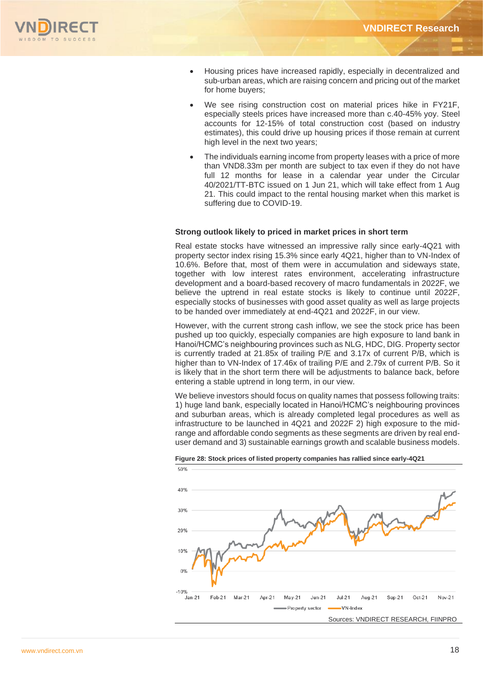

- Housing prices have increased rapidly, especially in decentralized and sub-urban areas, which are raising concern and pricing out of the market for home buyers;
- We see rising construction cost on material prices hike in FY21F, especially steels prices have increased more than c.40-45% yoy. Steel accounts for 12-15% of total construction cost (based on industry estimates), this could drive up housing prices if those remain at current high level in the next two years;
- The individuals earning income from property leases with a price of more than VND8.33m per month are subject to tax even if they do not have full 12 months for lease in a calendar year under the Circular 40/2021/TT-BTC issued on 1 Jun 21, which will take effect from 1 Aug 21. This could impact to the rental housing market when this market is suffering due to COVID-19.

#### **Strong outlook likely to priced in market prices in short term**

Real estate stocks have witnessed an impressive rally since early-4Q21 with property sector index rising 15.3% since early 4Q21, higher than to VN-Index of 10.6%. Before that, most of them were in accumulation and sideways state, together with low interest rates environment, accelerating infrastructure development and a board-based recovery of macro fundamentals in 2022F, we believe the uptrend in real estate stocks is likely to continue until 2022F, especially stocks of businesses with good asset quality as well as large projects to be handed over immediately at end-4Q21 and 2022F, in our view.

However, with the current strong cash inflow, we see the stock price has been pushed up too quickly, especially companies are high exposure to land bank in Hanoi/HCMC's neighbouring provinces such as NLG, HDC, DIG. Property sector is currently traded at 21.85x of trailing P/E and 3.17x of current P/B, which is higher than to VN-Index of 17.46x of trailing P/E and 2.79x of current P/B. So it is likely that in the short term there will be adjustments to balance back, before entering a stable uptrend in long term, in our view.

We believe investors should focus on quality names that possess following traits: 1) huge land bank, especially located in Hanoi/HCMC's neighbouring provinces and suburban areas, which is already completed legal procedures as well as infrastructure to be launched in 4Q21 and 2022F 2) high exposure to the midrange and affordable condo segments as these segments are driven by real enduser demand and 3) sustainable earnings growth and scalable business models.